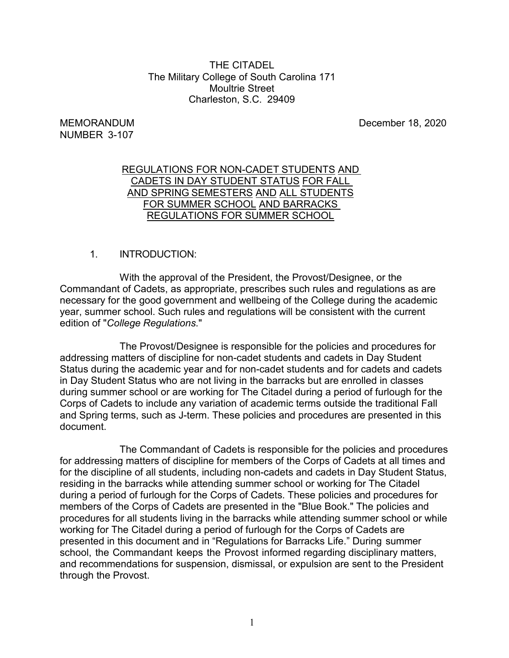## THE CITADEL The Military College of South Carolina 171 Moultrie Street Charleston, S.C. 29409

# NUMBER 3-107

MEMORANDUM December 18, 2020

## REGULATIONS FOR NON-CADET STUDENTS AND CADETS IN DAY STUDENT STATUS FOR FALL AND SPRING SEMESTERS AND ALL STUDENTS FOR SUMMER SCHOOL AND BARRACKS REGULATIONS FOR SUMMER SCHOOL

# 1. INTRODUCTION:

With the approval of the President, the Provost/Designee, or the Commandant of Cadets, as appropriate, prescribes such rules and regulations as are necessary for the good government and wellbeing of the College during the academic year, summer school. Such rules and regulations will be consistent with the current edition of "*College Regulations*."

The Provost/Designee is responsible for the policies and procedures for addressing matters of discipline for non-cadet students and cadets in Day Student Status during the academic year and for non-cadet students and for cadets and cadets in Day Student Status who are not living in the barracks but are enrolled in classes during summer school or are working for The Citadel during a period of furlough for the Corps of Cadets to include any variation of academic terms outside the traditional Fall and Spring terms, such as J-term. These policies and procedures are presented in this document.

The Commandant of Cadets is responsible for the policies and procedures for addressing matters of discipline for members of the Corps of Cadets at all times and for the discipline of all students, including non-cadets and cadets in Day Student Status, residing in the barracks while attending summer school or working for The Citadel during a period of furlough for the Corps of Cadets. These policies and procedures for members of the Corps of Cadets are presented in the "Blue Book." The policies and procedures for all students living in the barracks while attending summer school or while working for The Citadel during a period of furlough for the Corps of Cadets are presented in this document and in "Regulations for Barracks Life." During summer school, the Commandant keeps the Provost informed regarding disciplinary matters, and recommendations for suspension, dismissal, or expulsion are sent to the President through the Provost.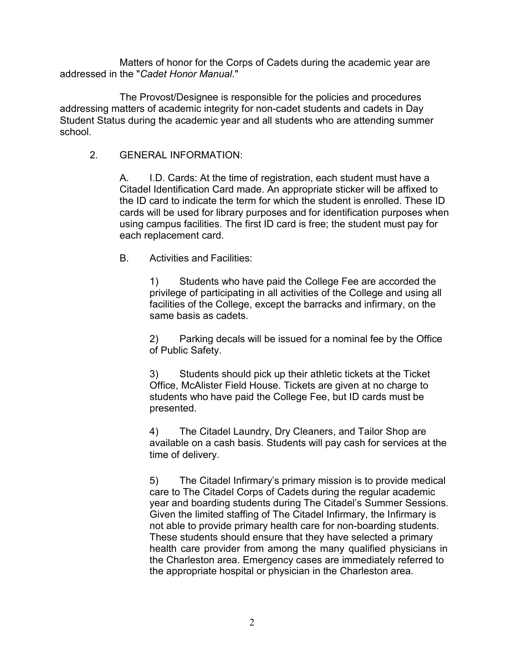Matters of honor for the Corps of Cadets during the academic year are addressed in the "*Cadet Honor Manual*."

The Provost/Designee is responsible for the policies and procedures addressing matters of academic integrity for non-cadet students and cadets in Day Student Status during the academic year and all students who are attending summer school.

## 2. GENERAL INFORMATION:

A. I.D. Cards: At the time of registration, each student must have a Citadel Identification Card made. An appropriate sticker will be affixed to the ID card to indicate the term for which the student is enrolled. These ID cards will be used for library purposes and for identification purposes when using campus facilities. The first ID card is free; the student must pay for each replacement card.

## B. Activities and Facilities:

1) Students who have paid the College Fee are accorded the privilege of participating in all activities of the College and using all facilities of the College, except the barracks and infirmary, on the same basis as cadets.

2) Parking decals will be issued for a nominal fee by the Office of Public Safety.

3) Students should pick up their athletic tickets at the Ticket Office, McAlister Field House. Tickets are given at no charge to students who have paid the College Fee, but ID cards must be presented.

4) The Citadel Laundry, Dry Cleaners, and Tailor Shop are available on a cash basis. Students will pay cash for services at the time of delivery.

5) The Citadel Infirmary's primary mission is to provide medical care to The Citadel Corps of Cadets during the regular academic year and boarding students during The Citadel's Summer Sessions. Given the limited staffing of The Citadel Infirmary, the Infirmary is not able to provide primary health care for non-boarding students. These students should ensure that they have selected a primary health care provider from among the many qualified physicians in the Charleston area. Emergency cases are immediately referred to the appropriate hospital or physician in the Charleston area.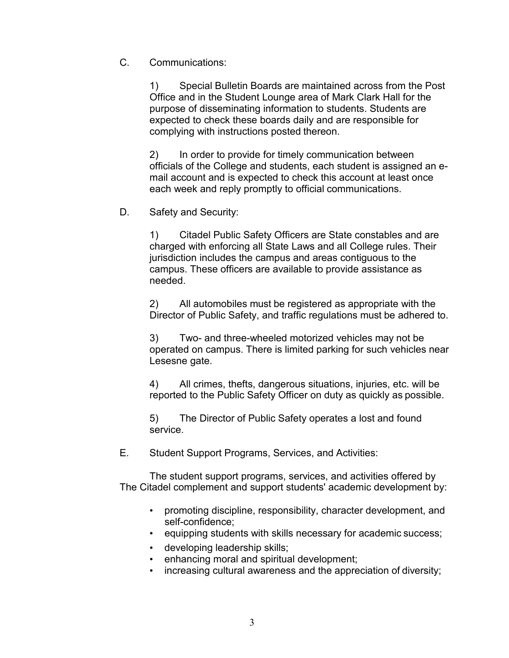C. Communications:

1) Special Bulletin Boards are maintained across from the Post Office and in the Student Lounge area of Mark Clark Hall for the purpose of disseminating information to students. Students are expected to check these boards daily and are responsible for complying with instructions posted thereon.

2) In order to provide for timely communication between officials of the College and students, each student is assigned an email account and is expected to check this account at least once each week and reply promptly to official communications.

D. Safety and Security:

1) Citadel Public Safety Officers are State constables and are charged with enforcing all State Laws and all College rules. Their jurisdiction includes the campus and areas contiguous to the campus. These officers are available to provide assistance as needed.

2) All automobiles must be registered as appropriate with the Director of Public Safety, and traffic regulations must be adhered to.

3) Two- and three-wheeled motorized vehicles may not be operated on campus. There is limited parking for such vehicles near Lesesne gate.

4) All crimes, thefts, dangerous situations, injuries, etc. will be reported to the Public Safety Officer on duty as quickly as possible.

5) The Director of Public Safety operates a lost and found service.

E. Student Support Programs, Services, and Activities:

The student support programs, services, and activities offered by The Citadel complement and support students' academic development by:

- promoting discipline, responsibility, character development, and self-confidence;
- equipping students with skills necessary for academic success;
- developing leadership skills;
- enhancing moral and spiritual development;
- increasing cultural awareness and the appreciation of diversity;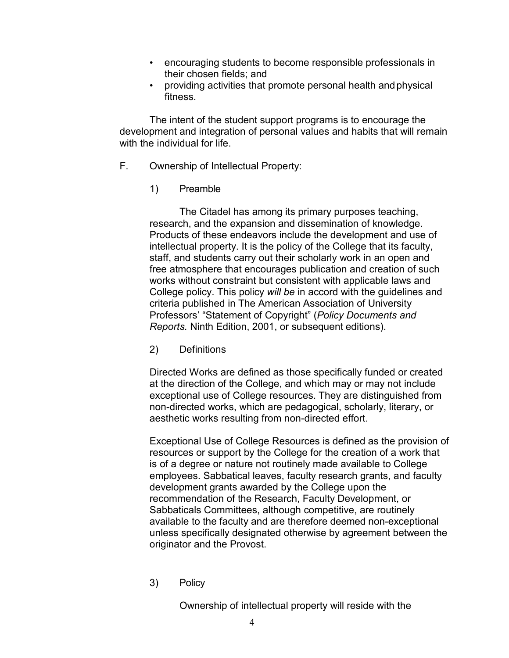- encouraging students to become responsible professionals in their chosen fields; and
- providing activities that promote personal health and physical fitness.

The intent of the student support programs is to encourage the development and integration of personal values and habits that will remain with the individual for life.

- F. Ownership of Intellectual Property:
	- 1) Preamble

The Citadel has among its primary purposes teaching, research, and the expansion and dissemination of knowledge. Products of these endeavors include the development and use of intellectual property. It is the policy of the College that its faculty, staff, and students carry out their scholarly work in an open and free atmosphere that encourages publication and creation of such works without constraint but consistent with applicable laws and College policy. This policy *will be* in accord with the guidelines and criteria published in The American Association of University Professors' "Statement of Copyright" (*Policy Documents and Reports.* Ninth Edition, 2001, or subsequent editions).

2) Definitions

Directed Works are defined as those specifically funded or created at the direction of the College, and which may or may not include exceptional use of College resources. They are distinguished from non-directed works, which are pedagogical, scholarly, literary, or aesthetic works resulting from non-directed effort.

Exceptional Use of College Resources is defined as the provision of resources or support by the College for the creation of a work that is of a degree or nature not routinely made available to College employees. Sabbatical leaves, faculty research grants, and faculty development grants awarded by the College upon the recommendation of the Research, Faculty Development, or Sabbaticals Committees, although competitive, are routinely available to the faculty and are therefore deemed non-exceptional unless specifically designated otherwise by agreement between the originator and the Provost.

3) Policy

Ownership of intellectual property will reside with the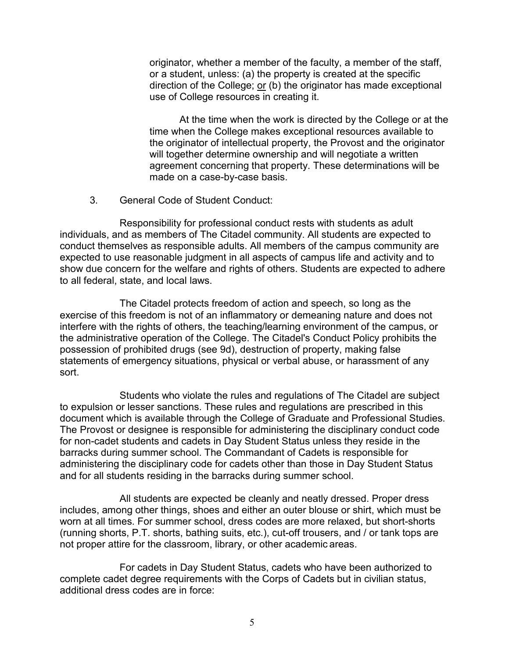originator, whether a member of the faculty, a member of the staff, or a student, unless: (a) the property is created at the specific direction of the College; or (b) the originator has made exceptional use of College resources in creating it.

At the time when the work is directed by the College or at the time when the College makes exceptional resources available to the originator of intellectual property, the Provost and the originator will together determine ownership and will negotiate a written agreement concerning that property. These determinations will be made on a case-by-case basis.

3. General Code of Student Conduct:

Responsibility for professional conduct rests with students as adult individuals, and as members of The Citadel community. All students are expected to conduct themselves as responsible adults. All members of the campus community are expected to use reasonable judgment in all aspects of campus life and activity and to show due concern for the welfare and rights of others. Students are expected to adhere to all federal, state, and local laws.

The Citadel protects freedom of action and speech, so long as the exercise of this freedom is not of an inflammatory or demeaning nature and does not interfere with the rights of others, the teaching/learning environment of the campus, or the administrative operation of the College. The Citadel's Conduct Policy prohibits the possession of prohibited drugs (see 9d), destruction of property, making false statements of emergency situations, physical or verbal abuse, or harassment of any sort.

Students who violate the rules and regulations of The Citadel are subject to expulsion or lesser sanctions. These rules and regulations are prescribed in this document which is available through the College of Graduate and Professional Studies. The Provost or designee is responsible for administering the disciplinary conduct code for non-cadet students and cadets in Day Student Status unless they reside in the barracks during summer school. The Commandant of Cadets is responsible for administering the disciplinary code for cadets other than those in Day Student Status and for all students residing in the barracks during summer school.

All students are expected be cleanly and neatly dressed. Proper dress includes, among other things, shoes and either an outer blouse or shirt, which must be worn at all times. For summer school, dress codes are more relaxed, but short-shorts (running shorts, P.T. shorts, bathing suits, etc.), cut-off trousers, and / or tank tops are not proper attire for the classroom, library, or other academic areas.

For cadets in Day Student Status, cadets who have been authorized to complete cadet degree requirements with the Corps of Cadets but in civilian status, additional dress codes are in force: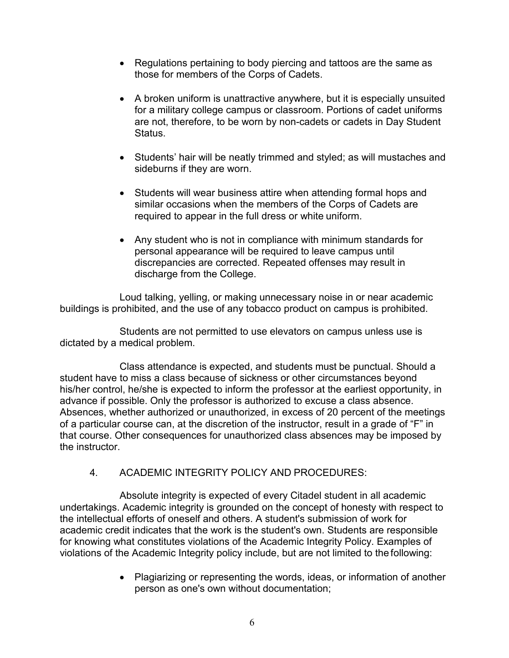- Regulations pertaining to body piercing and tattoos are the same as those for members of the Corps of Cadets.
- A broken uniform is unattractive anywhere, but it is especially unsuited for a military college campus or classroom. Portions of cadet uniforms are not, therefore, to be worn by non-cadets or cadets in Day Student Status.
- Students' hair will be neatly trimmed and styled; as will mustaches and sideburns if they are worn.
- Students will wear business attire when attending formal hops and similar occasions when the members of the Corps of Cadets are required to appear in the full dress or white uniform.
- Any student who is not in compliance with minimum standards for personal appearance will be required to leave campus until discrepancies are corrected. Repeated offenses may result in discharge from the College.

Loud talking, yelling, or making unnecessary noise in or near academic buildings is prohibited, and the use of any tobacco product on campus is prohibited.

Students are not permitted to use elevators on campus unless use is dictated by a medical problem.

Class attendance is expected, and students must be punctual. Should a student have to miss a class because of sickness or other circumstances beyond his/her control, he/she is expected to inform the professor at the earliest opportunity, in advance if possible. Only the professor is authorized to excuse a class absence. Absences, whether authorized or unauthorized, in excess of 20 percent of the meetings of a particular course can, at the discretion of the instructor, result in a grade of "F" in that course. Other consequences for unauthorized class absences may be imposed by the instructor.

4. ACADEMIC INTEGRITY POLICY AND PROCEDURES:

Absolute integrity is expected of every Citadel student in all academic undertakings. Academic integrity is grounded on the concept of honesty with respect to the intellectual efforts of oneself and others. A student's submission of work for academic credit indicates that the work is the student's own. Students are responsible for knowing what constitutes violations of the Academic Integrity Policy. Examples of violations of the Academic Integrity policy include, but are not limited to the following:

> • Plagiarizing or representing the words, ideas, or information of another person as one's own without documentation;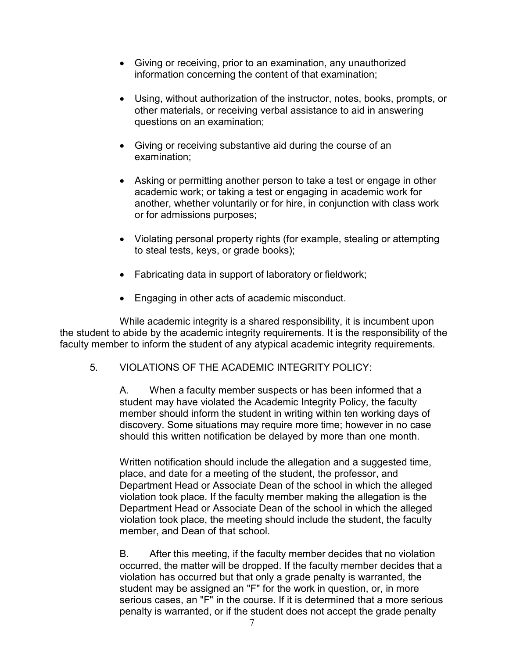- Giving or receiving, prior to an examination, any unauthorized information concerning the content of that examination;
- Using, without authorization of the instructor, notes, books, prompts, or other materials, or receiving verbal assistance to aid in answering questions on an examination;
- Giving or receiving substantive aid during the course of an examination;
- Asking or permitting another person to take a test or engage in other academic work; or taking a test or engaging in academic work for another, whether voluntarily or for hire, in conjunction with class work or for admissions purposes;
- Violating personal property rights (for example, stealing or attempting to steal tests, keys, or grade books);
- Fabricating data in support of laboratory or fieldwork;
- Engaging in other acts of academic misconduct.

While academic integrity is a shared responsibility, it is incumbent upon the student to abide by the academic integrity requirements. It is the responsibility of the faculty member to inform the student of any atypical academic integrity requirements.

5. VIOLATIONS OF THE ACADEMIC INTEGRITY POLICY:

A. When a faculty member suspects or has been informed that a student may have violated the Academic Integrity Policy, the faculty member should inform the student in writing within ten working days of discovery. Some situations may require more time; however in no case should this written notification be delayed by more than one month.

Written notification should include the allegation and a suggested time, place, and date for a meeting of the student, the professor, and Department Head or Associate Dean of the school in which the alleged violation took place. If the faculty member making the allegation is the Department Head or Associate Dean of the school in which the alleged violation took place, the meeting should include the student, the faculty member, and Dean of that school.

B. After this meeting, if the faculty member decides that no violation occurred, the matter will be dropped. If the faculty member decides that a violation has occurred but that only a grade penalty is warranted, the student may be assigned an "F" for the work in question, or, in more serious cases, an "F" in the course. If it is determined that a more serious penalty is warranted, or if the student does not accept the grade penalty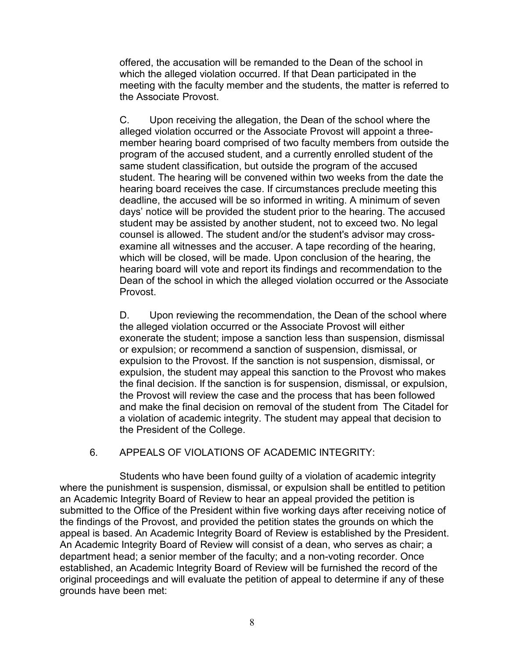offered, the accusation will be remanded to the Dean of the school in which the alleged violation occurred. If that Dean participated in the meeting with the faculty member and the students, the matter is referred to the Associate Provost.

C. Upon receiving the allegation, the Dean of the school where the alleged violation occurred or the Associate Provost will appoint a threemember hearing board comprised of two faculty members from outside the program of the accused student, and a currently enrolled student of the same student classification, but outside the program of the accused student. The hearing will be convened within two weeks from the date the hearing board receives the case. If circumstances preclude meeting this deadline, the accused will be so informed in writing. A minimum of seven days' notice will be provided the student prior to the hearing. The accused student may be assisted by another student, not to exceed two. No legal counsel is allowed. The student and/or the student's advisor may crossexamine all witnesses and the accuser. A tape recording of the hearing, which will be closed, will be made. Upon conclusion of the hearing, the hearing board will vote and report its findings and recommendation to the Dean of the school in which the alleged violation occurred or the Associate Provost.

D. Upon reviewing the recommendation, the Dean of the school where the alleged violation occurred or the Associate Provost will either exonerate the student; impose a sanction less than suspension, dismissal or expulsion; or recommend a sanction of suspension, dismissal, or expulsion to the Provost. If the sanction is not suspension, dismissal, or expulsion, the student may appeal this sanction to the Provost who makes the final decision. If the sanction is for suspension, dismissal, or expulsion, the Provost will review the case and the process that has been followed and make the final decision on removal of the student from The Citadel for a violation of academic integrity. The student may appeal that decision to the President of the College.

## 6. APPEALS OF VIOLATIONS OF ACADEMIC INTEGRITY:

Students who have been found guilty of a violation of academic integrity where the punishment is suspension, dismissal, or expulsion shall be entitled to petition an Academic Integrity Board of Review to hear an appeal provided the petition is submitted to the Office of the President within five working days after receiving notice of the findings of the Provost, and provided the petition states the grounds on which the appeal is based. An Academic Integrity Board of Review is established by the President. An Academic Integrity Board of Review will consist of a dean, who serves as chair; a department head; a senior member of the faculty; and a non-voting recorder. Once established, an Academic Integrity Board of Review will be furnished the record of the original proceedings and will evaluate the petition of appeal to determine if any of these grounds have been met: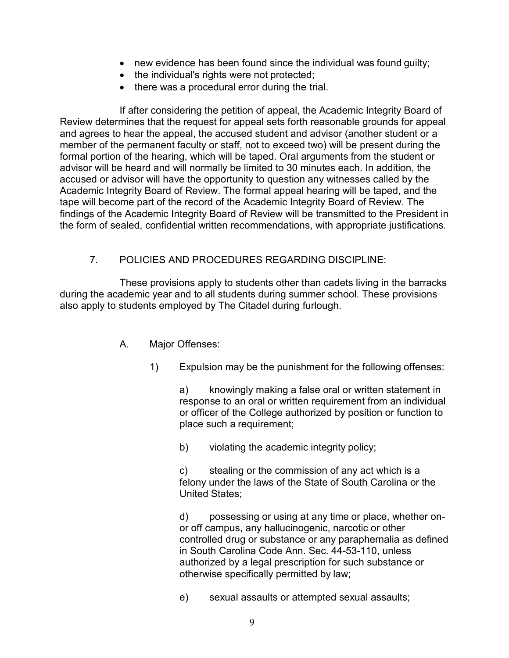- new evidence has been found since the individual was found quilty;
- the individual's rights were not protected;
- there was a procedural error during the trial.

If after considering the petition of appeal, the Academic Integrity Board of Review determines that the request for appeal sets forth reasonable grounds for appeal and agrees to hear the appeal, the accused student and advisor (another student or a member of the permanent faculty or staff, not to exceed two) will be present during the formal portion of the hearing, which will be taped. Oral arguments from the student or advisor will be heard and will normally be limited to 30 minutes each. In addition, the accused or advisor will have the opportunity to question any witnesses called by the Academic Integrity Board of Review. The formal appeal hearing will be taped, and the tape will become part of the record of the Academic Integrity Board of Review. The findings of the Academic Integrity Board of Review will be transmitted to the President in the form of sealed, confidential written recommendations, with appropriate justifications.

# 7. POLICIES AND PROCEDURES REGARDING DISCIPLINE:

These provisions apply to students other than cadets living in the barracks during the academic year and to all students during summer school. These provisions also apply to students employed by The Citadel during furlough.

- A. Major Offenses:
	- 1) Expulsion may be the punishment for the following offenses:

a) knowingly making a false oral or written statement in response to an oral or written requirement from an individual or officer of the College authorized by position or function to place such a requirement;

b) violating the academic integrity policy;

c) stealing or the commission of any act which is a felony under the laws of the State of South Carolina or the United States;

d) possessing or using at any time or place, whether onor off campus, any hallucinogenic, narcotic or other controlled drug or substance or any paraphernalia as defined in South Carolina Code Ann. Sec. 44-53-110, unless authorized by a legal prescription for such substance or otherwise specifically permitted by law;

e) sexual assaults or attempted sexual assaults;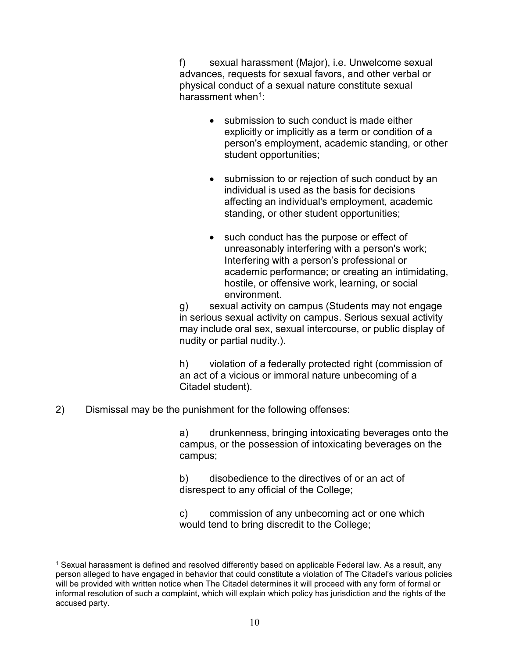f) sexual harassment (Major), i.e. Unwelcome sexual advances, requests for sexual favors, and other verbal or physical conduct of a sexual nature constitute sexual harassment when $1$ :

- submission to such conduct is made either explicitly or implicitly as a term or condition of a person's employment, academic standing, or other student opportunities;
- submission to or rejection of such conduct by an individual is used as the basis for decisions affecting an individual's employment, academic standing, or other student opportunities;
- such conduct has the purpose or effect of unreasonably interfering with a person's work; Interfering with a person's professional or academic performance; or creating an intimidating, hostile, or offensive work, learning, or social environment.

g) sexual activity on campus (Students may not engage in serious sexual activity on campus. Serious sexual activity may include oral sex, sexual intercourse, or public display of nudity or partial nudity.).

h) violation of a federally protected right (commission of an act of a vicious or immoral nature unbecoming of a Citadel student).

2) Dismissal may be the punishment for the following offenses:

a) drunkenness, bringing intoxicating beverages onto the campus, or the possession of intoxicating beverages on the campus;

b) disobedience to the directives of or an act of disrespect to any official of the College;

c) commission of any unbecoming act or one which would tend to bring discredit to the College;

<span id="page-9-0"></span> <sup>1</sup> Sexual harassment is defined and resolved differently based on applicable Federal law. As a result, any person alleged to have engaged in behavior that could constitute a violation of The Citadel's various policies will be provided with written notice when The Citadel determines it will proceed with any form of formal or informal resolution of such a complaint, which will explain which policy has jurisdiction and the rights of the accused party.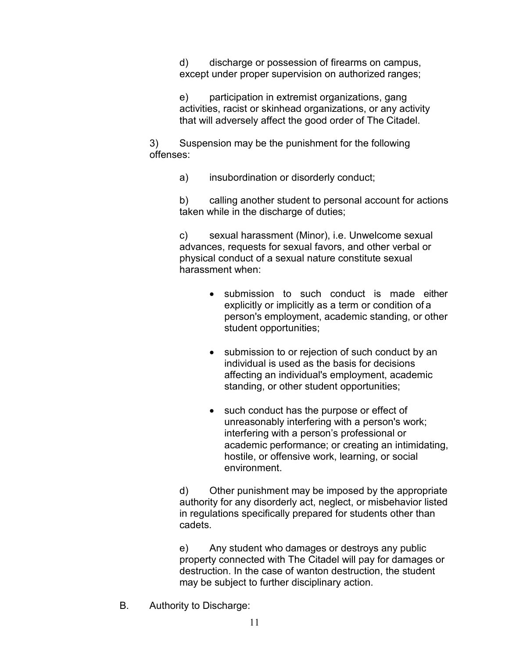d) discharge or possession of firearms on campus, except under proper supervision on authorized ranges;

e) participation in extremist organizations, gang activities, racist or skinhead organizations, or any activity that will adversely affect the good order of The Citadel.

3) Suspension may be the punishment for the following offenses:

a) insubordination or disorderly conduct;

b) calling another student to personal account for actions taken while in the discharge of duties;

c) sexual harassment (Minor), i.e. Unwelcome sexual advances, requests for sexual favors, and other verbal or physical conduct of a sexual nature constitute sexual harassment when:

- submission to such conduct is made either explicitly or implicitly as a term or condition of a person's employment, academic standing, or other student opportunities;
- submission to or rejection of such conduct by an individual is used as the basis for decisions affecting an individual's employment, academic standing, or other student opportunities;
- such conduct has the purpose or effect of unreasonably interfering with a person's work; interfering with a person's professional or academic performance; or creating an intimidating, hostile, or offensive work, learning, or social environment.

d) Other punishment may be imposed by the appropriate authority for any disorderly act, neglect, or misbehavior listed in regulations specifically prepared for students other than cadets.

e) Any student who damages or destroys any public property connected with The Citadel will pay for damages or destruction. In the case of wanton destruction, the student may be subject to further disciplinary action.

B. Authority to Discharge: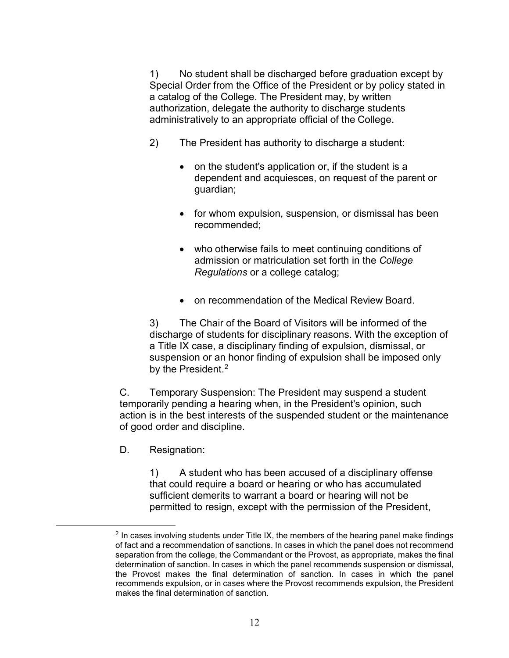1) No student shall be discharged before graduation except by Special Order from the Office of the President or by policy stated in a catalog of the College. The President may, by written authorization, delegate the authority to discharge students administratively to an appropriate official of the College.

- 2) The President has authority to discharge a student:
	- on the student's application or, if the student is a dependent and acquiesces, on request of the parent or guardian;
	- for whom expulsion, suspension, or dismissal has been recommended;
	- who otherwise fails to meet continuing conditions of admission or matriculation set forth in the *College Regulations* or a college catalog;
	- on recommendation of the Medical Review Board.

3) The Chair of the Board of Visitors will be informed of the discharge of students for disciplinary reasons. With the exception of a Title IX case, a disciplinary finding of expulsion, dismissal, or suspension or an honor finding of expulsion shall be imposed only by the President.<sup>[2](#page-11-0)</sup>

C. Temporary Suspension: The President may suspend a student temporarily pending a hearing when, in the President's opinion, such action is in the best interests of the suspended student or the maintenance of good order and discipline.

D. Resignation:

1) A student who has been accused of a disciplinary offense that could require a board or hearing or who has accumulated sufficient demerits to warrant a board or hearing will not be permitted to resign, except with the permission of the President,

<span id="page-11-0"></span> $2$  In cases involving students under Title IX, the members of the hearing panel make findings of fact and a recommendation of sanctions. In cases in which the panel does not recommend separation from the college, the Commandant or the Provost, as appropriate, makes the final determination of sanction. In cases in which the panel recommends suspension or dismissal, the Provost makes the final determination of sanction. In cases in which the panel recommends expulsion, or in cases where the Provost recommends expulsion, the President makes the final determination of sanction.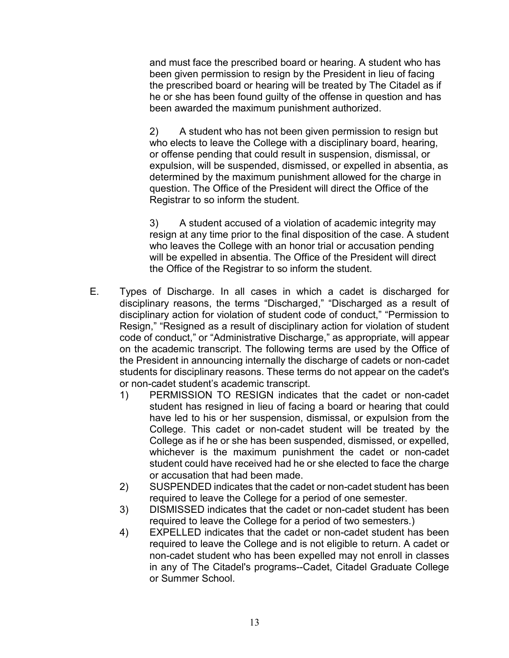and must face the prescribed board or hearing. A student who has been given permission to resign by the President in lieu of facing the prescribed board or hearing will be treated by The Citadel as if he or she has been found guilty of the offense in question and has been awarded the maximum punishment authorized.

2) A student who has not been given permission to resign but who elects to leave the College with a disciplinary board, hearing, or offense pending that could result in suspension, dismissal, or expulsion, will be suspended, dismissed, or expelled in absentia, as determined by the maximum punishment allowed for the charge in question. The Office of the President will direct the Office of the Registrar to so inform the student.

3) A student accused of a violation of academic integrity may resign at any time prior to the final disposition of the case. A student who leaves the College with an honor trial or accusation pending will be expelled in absentia. The Office of the President will direct the Office of the Registrar to so inform the student.

- E. Types of Discharge. In all cases in which a cadet is discharged for disciplinary reasons, the terms "Discharged," "Discharged as a result of disciplinary action for violation of student code of conduct," "Permission to Resign," "Resigned as a result of disciplinary action for violation of student code of conduct," or "Administrative Discharge," as appropriate, will appear on the academic transcript. The following terms are used by the Office of the President in announcing internally the discharge of cadets or non-cadet students for disciplinary reasons. These terms do not appear on the cadet's or non-cadet student's academic transcript.
	- 1) PERMISSION TO RESIGN indicates that the cadet or non-cadet student has resigned in lieu of facing a board or hearing that could have led to his or her suspension, dismissal, or expulsion from the College. This cadet or non-cadet student will be treated by the College as if he or she has been suspended, dismissed, or expelled, whichever is the maximum punishment the cadet or non-cadet student could have received had he or she elected to face the charge or accusation that had been made.
	- 2) SUSPENDED indicates that the cadet or non-cadet student has been required to leave the College for a period of one semester.
	- 3) DISMISSED indicates that the cadet or non-cadet student has been required to leave the College for a period of two semesters.)
	- 4) EXPELLED indicates that the cadet or non-cadet student has been required to leave the College and is not eligible to return. A cadet or non-cadet student who has been expelled may not enroll in classes in any of The Citadel's programs--Cadet, Citadel Graduate College or Summer School.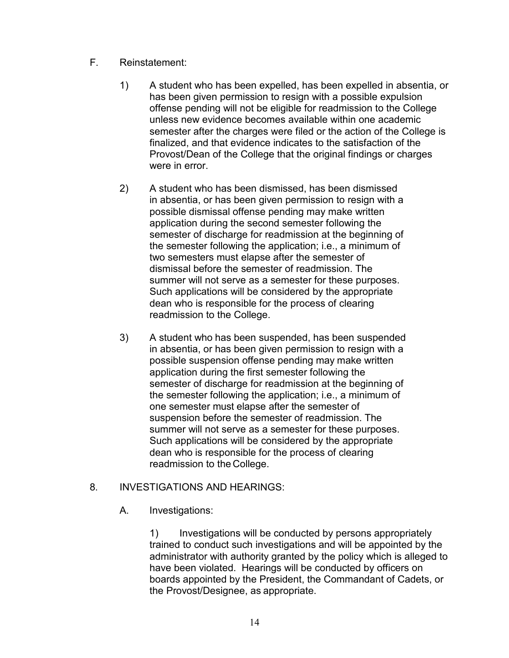- F. Reinstatement:
	- 1) A student who has been expelled, has been expelled in absentia, or has been given permission to resign with a possible expulsion offense pending will not be eligible for readmission to the College unless new evidence becomes available within one academic semester after the charges were filed or the action of the College is finalized, and that evidence indicates to the satisfaction of the Provost/Dean of the College that the original findings or charges were in error.
	- 2) A student who has been dismissed, has been dismissed in absentia, or has been given permission to resign with a possible dismissal offense pending may make written application during the second semester following the semester of discharge for readmission at the beginning of the semester following the application; i.e., a minimum of two semesters must elapse after the semester of dismissal before the semester of readmission. The summer will not serve as a semester for these purposes. Such applications will be considered by the appropriate dean who is responsible for the process of clearing readmission to the College.
	- 3) A student who has been suspended, has been suspended in absentia, or has been given permission to resign with a possible suspension offense pending may make written application during the first semester following the semester of discharge for readmission at the beginning of the semester following the application; i.e., a minimum of one semester must elapse after the semester of suspension before the semester of readmission. The summer will not serve as a semester for these purposes. Such applications will be considered by the appropriate dean who is responsible for the process of clearing readmission to the College.

## 8. INVESTIGATIONS AND HEARINGS:

A. Investigations:

1) Investigations will be conducted by persons appropriately trained to conduct such investigations and will be appointed by the administrator with authority granted by the policy which is alleged to have been violated. Hearings will be conducted by officers on boards appointed by the President, the Commandant of Cadets, or the Provost/Designee, as appropriate.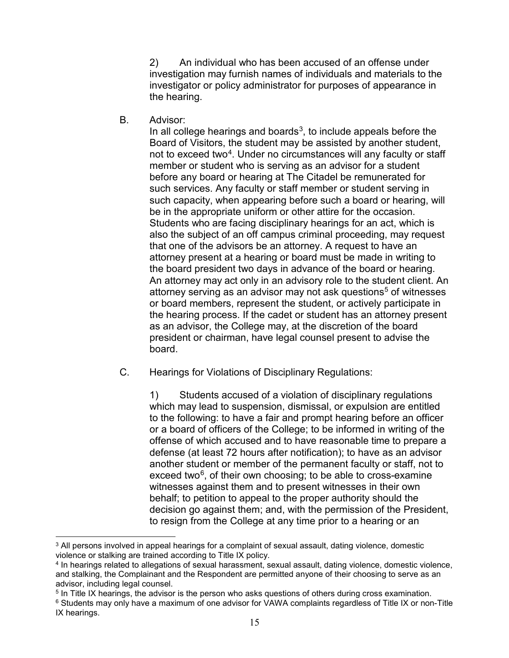2) An individual who has been accused of an offense under investigation may furnish names of individuals and materials to the investigator or policy administrator for purposes of appearance in the hearing.

B. Advisor:

In all college hearings and boards<sup>[3](#page-14-0)</sup>, to include appeals before the Board of Visitors, the student may be assisted by another student, not to exceed two<sup>[4](#page-14-1)</sup>. Under no circumstances will any faculty or staff member or student who is serving as an advisor for a student before any board or hearing at The Citadel be remunerated for such services. Any faculty or staff member or student serving in such capacity, when appearing before such a board or hearing, will be in the appropriate uniform or other attire for the occasion. Students who are facing disciplinary hearings for an act, which is also the subject of an off campus criminal proceeding, may request that one of the advisors be an attorney. A request to have an attorney present at a hearing or board must be made in writing to the board president two days in advance of the board or hearing. An attorney may act only in an advisory role to the student client. An attorney serving as an advisor may not ask questions $5$  of witnesses or board members, represent the student, or actively participate in the hearing process. If the cadet or student has an attorney present as an advisor, the College may, at the discretion of the board president or chairman, have legal counsel present to advise the board.

C. Hearings for Violations of Disciplinary Regulations:

1) Students accused of a violation of disciplinary regulations which may lead to suspension, dismissal, or expulsion are entitled to the following: to have a fair and prompt hearing before an officer or a board of officers of the College; to be informed in writing of the offense of which accused and to have reasonable time to prepare a defense (at least 72 hours after notification); to have as an advisor another student or member of the permanent faculty or staff, not to exceed two $6$ , of their own choosing; to be able to cross-examine witnesses against them and to present witnesses in their own behalf; to petition to appeal to the proper authority should the decision go against them; and, with the permission of the President, to resign from the College at any time prior to a hearing or an

<span id="page-14-0"></span> <sup>3</sup> All persons involved in appeal hearings for a complaint of sexual assault, dating violence, domestic violence or stalking are trained according to Title IX policy.

<span id="page-14-1"></span><sup>4</sup> In hearings related to allegations of sexual harassment, sexual assault, dating violence, domestic violence, and stalking, the Complainant and the Respondent are permitted anyone of their choosing to serve as an advisor, including legal counsel.

<span id="page-14-3"></span><span id="page-14-2"></span><sup>5</sup> In Title IX hearings, the advisor is the person who asks questions of others during cross examination. <sup>6</sup> Students may only have a maximum of one advisor for VAWA complaints regardless of Title IX or non-Title IX hearings.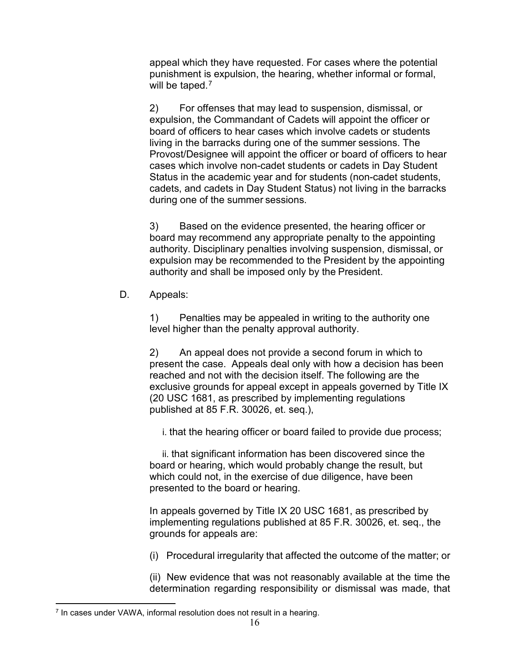appeal which they have requested. For cases where the potential punishment is expulsion, the hearing, whether informal or formal, will be taped.<sup>[7](#page-15-0)</sup>

2) For offenses that may lead to suspension, dismissal, or expulsion, the Commandant of Cadets will appoint the officer or board of officers to hear cases which involve cadets or students living in the barracks during one of the summer sessions. The Provost/Designee will appoint the officer or board of officers to hear cases which involve non-cadet students or cadets in Day Student Status in the academic year and for students (non-cadet students, cadets, and cadets in Day Student Status) not living in the barracks during one of the summer sessions.

3) Based on the evidence presented, the hearing officer or board may recommend any appropriate penalty to the appointing authority. Disciplinary penalties involving suspension, dismissal, or expulsion may be recommended to the President by the appointing authority and shall be imposed only by the President.

D. Appeals:

1) Penalties may be appealed in writing to the authority one level higher than the penalty approval authority.

2) An appeal does not provide a second forum in which to present the case. Appeals deal only with how a decision has been reached and not with the decision itself. The following are the exclusive grounds for appeal except in appeals governed by Title IX (20 USC 1681, as prescribed by implementing regulations published at 85 F.R. 30026, et. seq.),

i. that the hearing officer or board failed to provide due process;

 ii. that significant information has been discovered since the board or hearing, which would probably change the result, but which could not, in the exercise of due diligence, have been presented to the board or hearing.

In appeals governed by Title IX 20 USC 1681, as prescribed by implementing regulations published at 85 F.R. 30026, et. seq., the grounds for appeals are:

(i) Procedural irregularity that affected the outcome of the matter; or

(ii) New evidence that was not reasonably available at the time the determination regarding responsibility or dismissal was made, that

<span id="page-15-0"></span> <sup>7</sup> In cases under VAWA, informal resolution does not result in a hearing.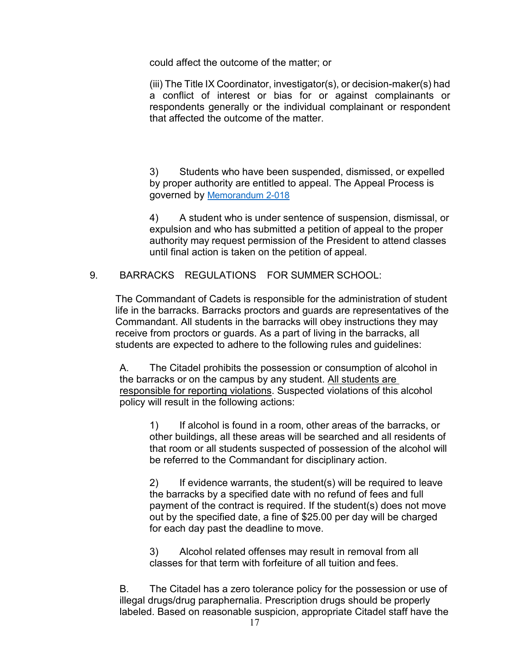could affect the outcome of the matter; or

(iii) The Title IX Coordinator, investigator(s), or decision-maker(s) had a conflict of interest or bias for or against complainants or respondents generally or the individual complainant or respondent that affected the outcome of the matter.

3) Students who have been suspended, dismissed, or expelled by proper authority are entitled to appeal. The Appeal Process is governed by [Memorandum 2-018](https://nam10.safelinks.protection.outlook.com/?url=https%3A%2F%2Fwww.citadel.edu%2Froot%2Fimages%2Fpolicies%2F2-018-student-appeals-of-disciplinary-decisions.pdf&data=04%7C01%7Ckbrenna1%40citadel.edu%7Ce2a5f4663546407a4e2908d8a1f6b4d0%7C960c1081d06341f8844b41d738db04a3%7C0%7C0%7C637437428275156861%7CUnknown%7CTWFpbGZsb3d8eyJWIjoiMC4wLjAwMDAiLCJQIjoiV2luMzIiLCJBTiI6Ik1haWwiLCJXVCI6Mn0%3D%7C1000&sdata=W55O4Q2PPQq2LcKgDLaEwejpRac%2Fuypb%2BVKCpRkAreg%3D&reserved=0)

4) A student who is under sentence of suspension, dismissal, or expulsion and who has submitted a petition of appeal to the proper authority may request permission of the President to attend classes until final action is taken on the petition of appeal.

9. BARRACKS REGULATIONS FOR SUMMER SCHOOL:

The Commandant of Cadets is responsible for the administration of student life in the barracks. Barracks proctors and guards are representatives of the Commandant. All students in the barracks will obey instructions they may receive from proctors or guards. As a part of living in the barracks, all students are expected to adhere to the following rules and guidelines:

A. The Citadel prohibits the possession or consumption of alcohol in the barracks or on the campus by any student. All students are responsible for reporting violations. Suspected violations of this alcohol policy will result in the following actions:

1) If alcohol is found in a room, other areas of the barracks, or other buildings, all these areas will be searched and all residents of that room or all students suspected of possession of the alcohol will be referred to the Commandant for disciplinary action.

2) If evidence warrants, the student(s) will be required to leave the barracks by a specified date with no refund of fees and full payment of the contract is required. If the student(s) does not move out by the specified date, a fine of \$25.00 per day will be charged for each day past the deadline to move.

3) Alcohol related offenses may result in removal from all classes for that term with forfeiture of all tuition and fees.

B. The Citadel has a zero tolerance policy for the possession or use of illegal drugs/drug paraphernalia. Prescription drugs should be properly labeled. Based on reasonable suspicion, appropriate Citadel staff have the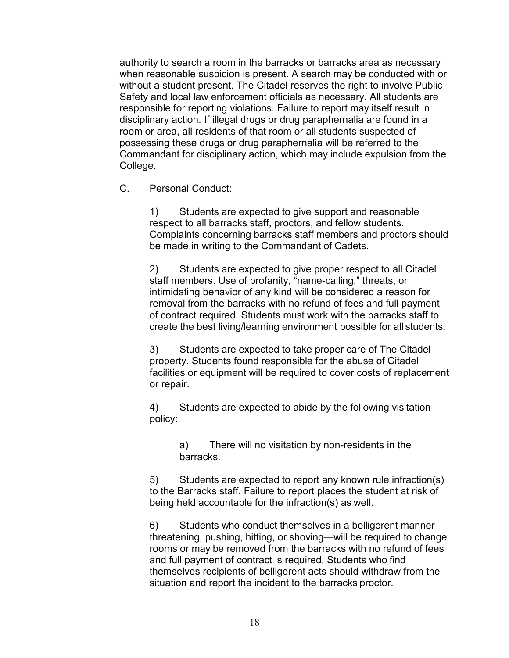authority to search a room in the barracks or barracks area as necessary when reasonable suspicion is present. A search may be conducted with or without a student present. The Citadel reserves the right to involve Public Safety and local law enforcement officials as necessary. All students are responsible for reporting violations. Failure to report may itself result in disciplinary action. If illegal drugs or drug paraphernalia are found in a room or area, all residents of that room or all students suspected of possessing these drugs or drug paraphernalia will be referred to the Commandant for disciplinary action, which may include expulsion from the College.

C. Personal Conduct:

1) Students are expected to give support and reasonable respect to all barracks staff, proctors, and fellow students. Complaints concerning barracks staff members and proctors should be made in writing to the Commandant of Cadets.

2) Students are expected to give proper respect to all Citadel staff members. Use of profanity, "name-calling," threats, or intimidating behavior of any kind will be considered a reason for removal from the barracks with no refund of fees and full payment of contract required. Students must work with the barracks staff to create the best living/learning environment possible for all students.

3) Students are expected to take proper care of The Citadel property. Students found responsible for the abuse of Citadel facilities or equipment will be required to cover costs of replacement or repair.

4) Students are expected to abide by the following visitation policy:

> a) There will no visitation by non-residents in the barracks.

5) Students are expected to report any known rule infraction(s) to the Barracks staff. Failure to report places the student at risk of being held accountable for the infraction(s) as well.

6) Students who conduct themselves in a belligerent manner threatening, pushing, hitting, or shoving—will be required to change rooms or may be removed from the barracks with no refund of fees and full payment of contract is required. Students who find themselves recipients of belligerent acts should withdraw from the situation and report the incident to the barracks proctor.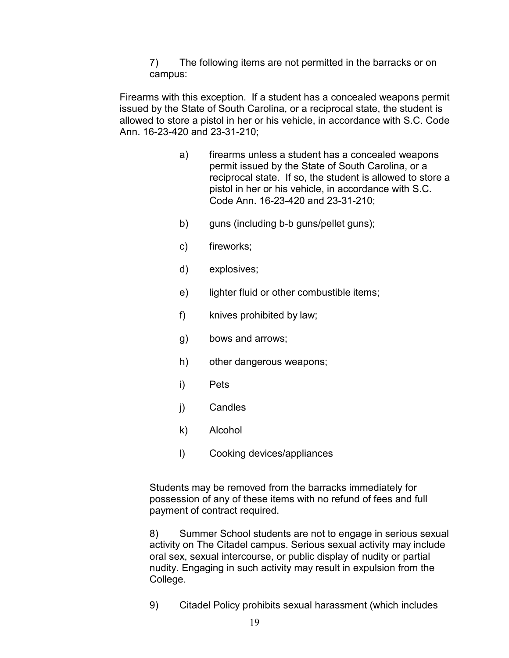7) The following items are not permitted in the barracks or on campus:

Firearms with this exception. If a student has a concealed weapons permit issued by the State of South Carolina, or a reciprocal state, the student is allowed to store a pistol in her or his vehicle, in accordance with S.C. Code Ann. 16-23-420 and 23-31-210;

- a) firearms unless a student has a concealed weapons permit issued by the State of South Carolina, or a reciprocal state. If so, the student is allowed to store a pistol in her or his vehicle, in accordance with S.C. Code Ann. 16-23-420 and 23-31-210;
- b) guns (including b-b guns/pellet guns);
- c) fireworks;
- d) explosives;
- e) lighter fluid or other combustible items;
- f) knives prohibited by law;
- g) bows and arrows;
- h) other dangerous weapons;
- i) Pets
- j) Candles
- k) Alcohol
- l) Cooking devices/appliances

Students may be removed from the barracks immediately for possession of any of these items with no refund of fees and full payment of contract required.

8) Summer School students are not to engage in serious sexual activity on The Citadel campus. Serious sexual activity may include oral sex, sexual intercourse, or public display of nudity or partial nudity. Engaging in such activity may result in expulsion from the College.

9) Citadel Policy prohibits sexual harassment (which includes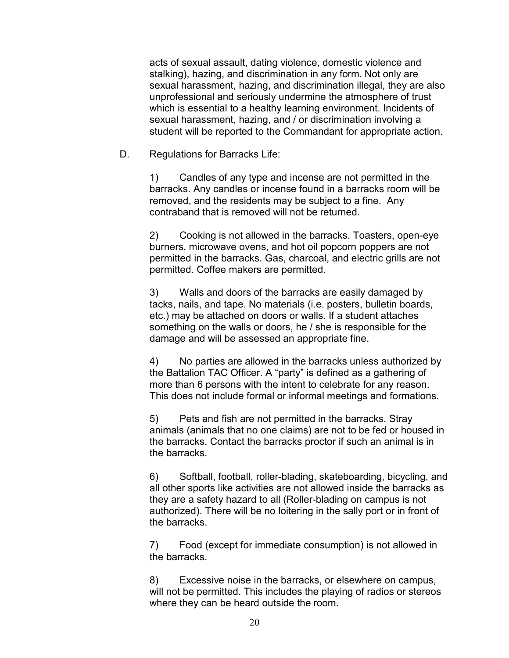acts of sexual assault, dating violence, domestic violence and stalking), hazing, and discrimination in any form. Not only are sexual harassment, hazing, and discrimination illegal, they are also unprofessional and seriously undermine the atmosphere of trust which is essential to a healthy learning environment. Incidents of sexual harassment, hazing, and / or discrimination involving a student will be reported to the Commandant for appropriate action.

D. Regulations for Barracks Life:

1) Candles of any type and incense are not permitted in the barracks. Any candles or incense found in a barracks room will be removed, and the residents may be subject to a fine. Any contraband that is removed will not be returned.

2) Cooking is not allowed in the barracks. Toasters, open-eye burners, microwave ovens, and hot oil popcorn poppers are not permitted in the barracks. Gas, charcoal, and electric grills are not permitted. Coffee makers are permitted.

3) Walls and doors of the barracks are easily damaged by tacks, nails, and tape. No materials (i.e. posters, bulletin boards, etc.) may be attached on doors or walls. If a student attaches something on the walls or doors, he / she is responsible for the damage and will be assessed an appropriate fine.

4) No parties are allowed in the barracks unless authorized by the Battalion TAC Officer. A "party" is defined as a gathering of more than 6 persons with the intent to celebrate for any reason. This does not include formal or informal meetings and formations.

5) Pets and fish are not permitted in the barracks. Stray animals (animals that no one claims) are not to be fed or housed in the barracks. Contact the barracks proctor if such an animal is in the barracks.

6) Softball, football, roller-blading, skateboarding, bicycling, and all other sports like activities are not allowed inside the barracks as they are a safety hazard to all (Roller-blading on campus is not authorized). There will be no loitering in the sally port or in front of the barracks.

7) Food (except for immediate consumption) is not allowed in the barracks.

8) Excessive noise in the barracks, or elsewhere on campus, will not be permitted. This includes the playing of radios or stereos where they can be heard outside the room.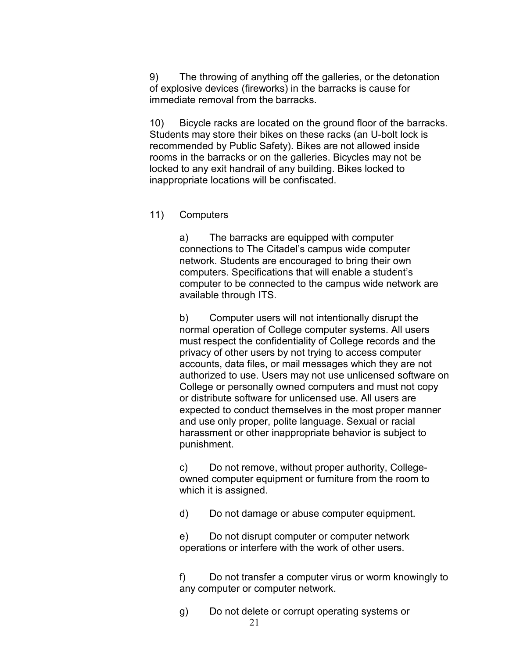9) The throwing of anything off the galleries, or the detonation of explosive devices (fireworks) in the barracks is cause for immediate removal from the barracks.

10) Bicycle racks are located on the ground floor of the barracks. Students may store their bikes on these racks (an U-bolt lock is recommended by Public Safety). Bikes are not allowed inside rooms in the barracks or on the galleries. Bicycles may not be locked to any exit handrail of any building. Bikes locked to inappropriate locations will be confiscated.

#### 11) Computers

a) The barracks are equipped with computer connections to The Citadel's campus wide computer network. Students are encouraged to bring their own computers. Specifications that will enable a student's computer to be connected to the campus wide network are available through ITS.

b) Computer users will not intentionally disrupt the normal operation of College computer systems. All users must respect the confidentiality of College records and the privacy of other users by not trying to access computer accounts, data files, or mail messages which they are not authorized to use. Users may not use unlicensed software on College or personally owned computers and must not copy or distribute software for unlicensed use. All users are expected to conduct themselves in the most proper manner and use only proper, polite language. Sexual or racial harassment or other inappropriate behavior is subject to punishment.

c) Do not remove, without proper authority, Collegeowned computer equipment or furniture from the room to which it is assigned.

d) Do not damage or abuse computer equipment.

e) Do not disrupt computer or computer network operations or interfere with the work of other users.

f) Do not transfer a computer virus or worm knowingly to any computer or computer network.

g) Do not delete or corrupt operating systems or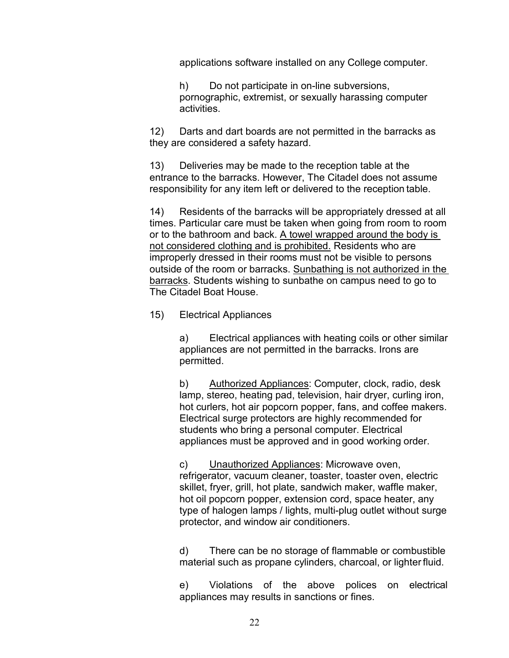applications software installed on any College computer.

h) Do not participate in on-line subversions, pornographic, extremist, or sexually harassing computer activities.

12) Darts and dart boards are not permitted in the barracks as they are considered a safety hazard.

13) Deliveries may be made to the reception table at the entrance to the barracks. However, The Citadel does not assume responsibility for any item left or delivered to the reception table.

14) Residents of the barracks will be appropriately dressed at all times. Particular care must be taken when going from room to room or to the bathroom and back. A towel wrapped around the body is not considered clothing and is prohibited. Residents who are improperly dressed in their rooms must not be visible to persons outside of the room or barracks. Sunbathing is not authorized in the barracks. Students wishing to sunbathe on campus need to go to The Citadel Boat House.

#### 15) Electrical Appliances

a) Electrical appliances with heating coils or other similar appliances are not permitted in the barracks. Irons are permitted.

b) Authorized Appliances: Computer, clock, radio, desk lamp, stereo, heating pad, television, hair dryer, curling iron, hot curlers, hot air popcorn popper, fans, and coffee makers. Electrical surge protectors are highly recommended for students who bring a personal computer. Electrical appliances must be approved and in good working order.

c) Unauthorized Appliances: Microwave oven, refrigerator, vacuum cleaner, toaster, toaster oven, electric skillet, fryer, grill, hot plate, sandwich maker, waffle maker, hot oil popcorn popper, extension cord, space heater, any type of halogen lamps / lights, multi-plug outlet without surge protector, and window air conditioners.

d) There can be no storage of flammable or combustible material such as propane cylinders, charcoal, or lighter fluid.

e) Violations of the above polices on electrical appliances may results in sanctions or fines.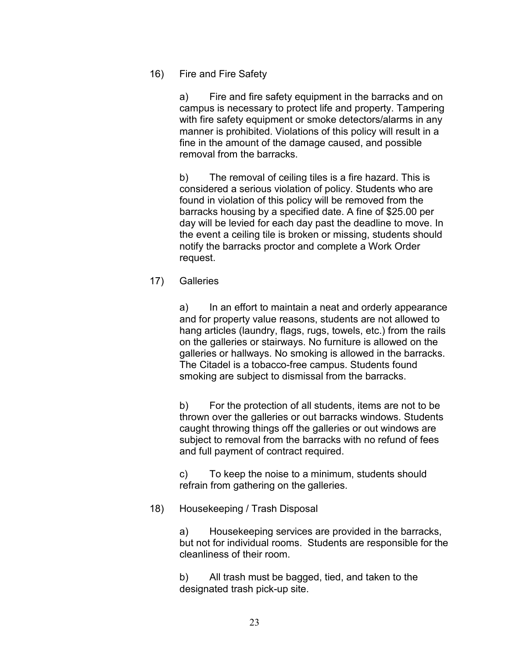#### 16) Fire and Fire Safety

a) Fire and fire safety equipment in the barracks and on campus is necessary to protect life and property. Tampering with fire safety equipment or smoke detectors/alarms in any manner is prohibited. Violations of this policy will result in a fine in the amount of the damage caused, and possible removal from the barracks.

b) The removal of ceiling tiles is a fire hazard. This is considered a serious violation of policy. Students who are found in violation of this policy will be removed from the barracks housing by a specified date. A fine of \$25.00 per day will be levied for each day past the deadline to move. In the event a ceiling tile is broken or missing, students should notify the barracks proctor and complete a Work Order request.

17) Galleries

a) In an effort to maintain a neat and orderly appearance and for property value reasons, students are not allowed to hang articles (laundry, flags, rugs, towels, etc.) from the rails on the galleries or stairways. No furniture is allowed on the galleries or hallways. No smoking is allowed in the barracks. The Citadel is a tobacco-free campus. Students found smoking are subject to dismissal from the barracks.

b) For the protection of all students, items are not to be thrown over the galleries or out barracks windows. Students caught throwing things off the galleries or out windows are subject to removal from the barracks with no refund of fees and full payment of contract required.

c) To keep the noise to a minimum, students should refrain from gathering on the galleries.

## 18) Housekeeping / Trash Disposal

a) Housekeeping services are provided in the barracks, but not for individual rooms. Students are responsible for the cleanliness of their room.

b) All trash must be bagged, tied, and taken to the designated trash pick-up site.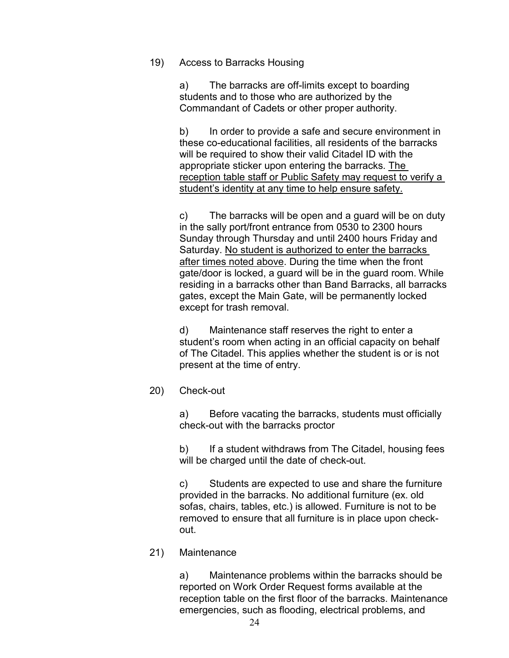#### 19) Access to Barracks Housing

a) The barracks are off-limits except to boarding students and to those who are authorized by the Commandant of Cadets or other proper authority.

b) In order to provide a safe and secure environment in these co-educational facilities, all residents of the barracks will be required to show their valid Citadel ID with the appropriate sticker upon entering the barracks. The reception table staff or Public Safety may request to verify a student's identity at any time to help ensure safety.

c) The barracks will be open and a guard will be on duty in the sally port/front entrance from 0530 to 2300 hours Sunday through Thursday and until 2400 hours Friday and Saturday. No student is authorized to enter the barracks after times noted above. During the time when the front gate/door is locked, a guard will be in the guard room. While residing in a barracks other than Band Barracks, all barracks gates, except the Main Gate, will be permanently locked except for trash removal.

d) Maintenance staff reserves the right to enter a student's room when acting in an official capacity on behalf of The Citadel. This applies whether the student is or is not present at the time of entry.

#### 20) Check-out

a) Before vacating the barracks, students must officially check-out with the barracks proctor

b) If a student withdraws from The Citadel, housing fees will be charged until the date of check-out.

c) Students are expected to use and share the furniture provided in the barracks. No additional furniture (ex. old sofas, chairs, tables, etc.) is allowed. Furniture is not to be removed to ensure that all furniture is in place upon checkout.

#### 21) Maintenance

a) Maintenance problems within the barracks should be reported on Work Order Request forms available at the reception table on the first floor of the barracks. Maintenance emergencies, such as flooding, electrical problems, and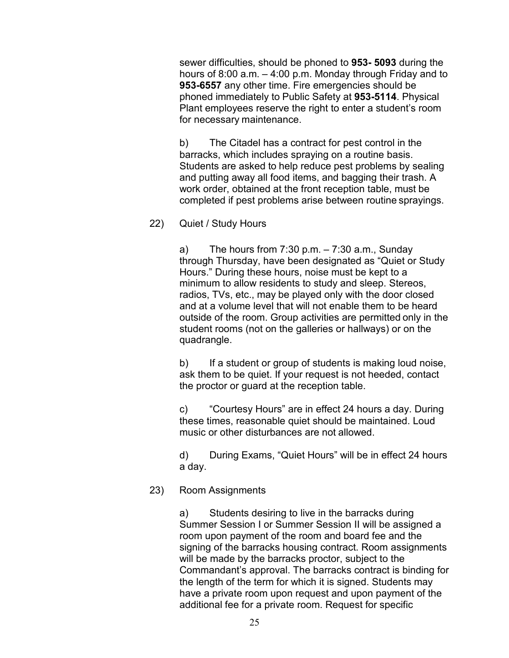sewer difficulties, should be phoned to **953 5093** during the hours of 8:00 a.m. – 4:00 p.m. Monday through Friday and to **953-6557** any other time. Fire emergencies should be phoned immediately to Public Safety at **9535114**. Physical Plant employees reserve the right to enter a student's room for necessary maintenance.

b) The Citadel has a contract for pest control in the barracks, which includes spraying on a routine basis. Students are asked to help reduce pest problems by sealing and putting away all food items, and bagging their trash. A work order, obtained at the front reception table, must be completed if pest problems arise between routine sprayings.

## 22) Quiet / Study Hours

a) The hours from  $7:30$  p.m.  $-7:30$  a.m., Sunday through Thursday, have been designated as "Quiet or Study Hours." During these hours, noise must be kept to a minimum to allow residents to study and sleep. Stereos, radios, TVs, etc., may be played only with the door closed and at a volume level that will not enable them to be heard outside of the room. Group activities are permitted only in the student rooms (not on the galleries or hallways) or on the quadrangle.

b) If a student or group of students is making loud noise, ask them to be quiet. If your request is not heeded, contact the proctor or guard at the reception table.

c) "Courtesy Hours" are in effect 24 hours a day. During these times, reasonable quiet should be maintained. Loud music or other disturbances are not allowed.

d) During Exams, "Quiet Hours" will be in effect 24 hours a day.

## 23) Room Assignments

a) Students desiring to live in the barracks during Summer Session I or Summer Session II will be assigned a room upon payment of the room and board fee and the signing of the barracks housing contract. Room assignments will be made by the barracks proctor, subject to the Commandant's approval. The barracks contract is binding for the length of the term for which it is signed. Students may have a private room upon request and upon payment of the additional fee for a private room. Request for specific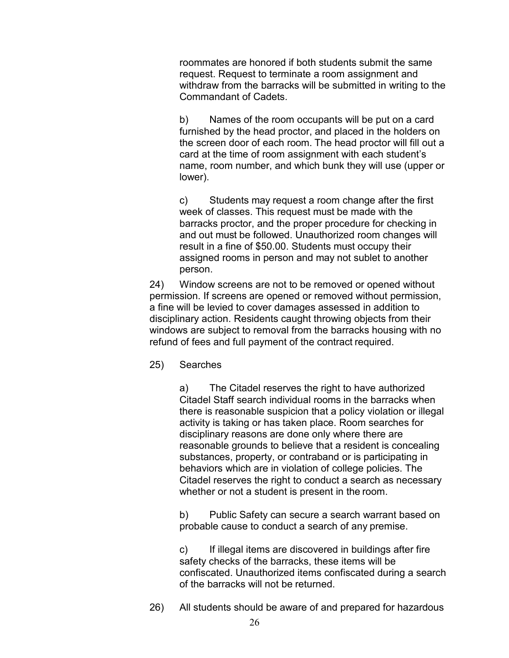roommates are honored if both students submit the same request. Request to terminate a room assignment and withdraw from the barracks will be submitted in writing to the Commandant of Cadets.

b) Names of the room occupants will be put on a card furnished by the head proctor, and placed in the holders on the screen door of each room. The head proctor will fill out a card at the time of room assignment with each student's name, room number, and which bunk they will use (upper or lower).

c) Students may request a room change after the first week of classes. This request must be made with the barracks proctor, and the proper procedure for checking in and out must be followed. Unauthorized room changes will result in a fine of \$50.00. Students must occupy their assigned rooms in person and may not sublet to another person.

24) Window screens are not to be removed or opened without permission. If screens are opened or removed without permission, a fine will be levied to cover damages assessed in addition to disciplinary action. Residents caught throwing objects from their windows are subject to removal from the barracks housing with no refund of fees and full payment of the contract required.

25) Searches

a) The Citadel reserves the right to have authorized Citadel Staff search individual rooms in the barracks when there is reasonable suspicion that a policy violation or illegal activity is taking or has taken place. Room searches for disciplinary reasons are done only where there are reasonable grounds to believe that a resident is concealing substances, property, or contraband or is participating in behaviors which are in violation of college policies. The Citadel reserves the right to conduct a search as necessary whether or not a student is present in the room.

b) Public Safety can secure a search warrant based on probable cause to conduct a search of any premise.

c) If illegal items are discovered in buildings after fire safety checks of the barracks, these items will be confiscated. Unauthorized items confiscated during a search of the barracks will not be returned.

26) All students should be aware of and prepared for hazardous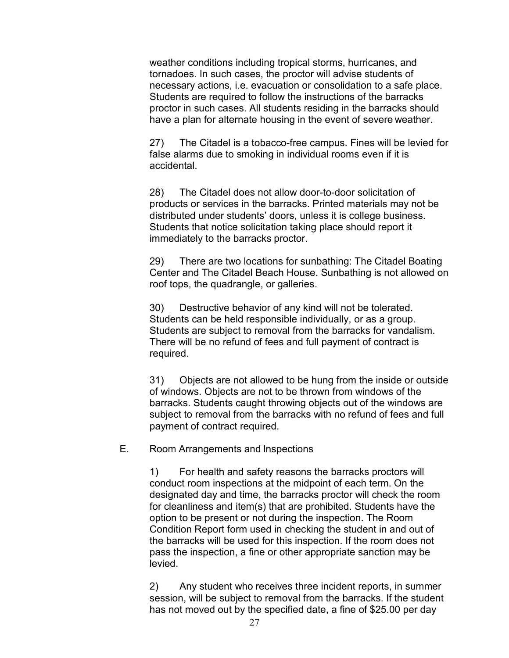weather conditions including tropical storms, hurricanes, and tornadoes. In such cases, the proctor will advise students of necessary actions, i.e. evacuation or consolidation to a safe place. Students are required to follow the instructions of the barracks proctor in such cases. All students residing in the barracks should have a plan for alternate housing in the event of severe weather.

27) The Citadel is a tobacco-free campus. Fines will be levied for false alarms due to smoking in individual rooms even if it is accidental.

28) The Citadel does not allow door-to-door solicitation of products or services in the barracks. Printed materials may not be distributed under students' doors, unless it is college business. Students that notice solicitation taking place should report it immediately to the barracks proctor.

29) There are two locations for sunbathing: The Citadel Boating Center and The Citadel Beach House. Sunbathing is not allowed on roof tops, the quadrangle, or galleries.

30) Destructive behavior of any kind will not be tolerated. Students can be held responsible individually, or as a group. Students are subject to removal from the barracks for vandalism. There will be no refund of fees and full payment of contract is required.

31) Objects are not allowed to be hung from the inside or outside of windows. Objects are not to be thrown from windows of the barracks. Students caught throwing objects out of the windows are subject to removal from the barracks with no refund of fees and full payment of contract required.

E. Room Arrangements and Inspections

1) For health and safety reasons the barracks proctors will conduct room inspections at the midpoint of each term. On the designated day and time, the barracks proctor will check the room for cleanliness and item(s) that are prohibited. Students have the option to be present or not during the inspection. The Room Condition Report form used in checking the student in and out of the barracks will be used for this inspection. If the room does not pass the inspection, a fine or other appropriate sanction may be levied.

2) Any student who receives three incident reports, in summer session, will be subject to removal from the barracks. If the student has not moved out by the specified date, a fine of \$25.00 per day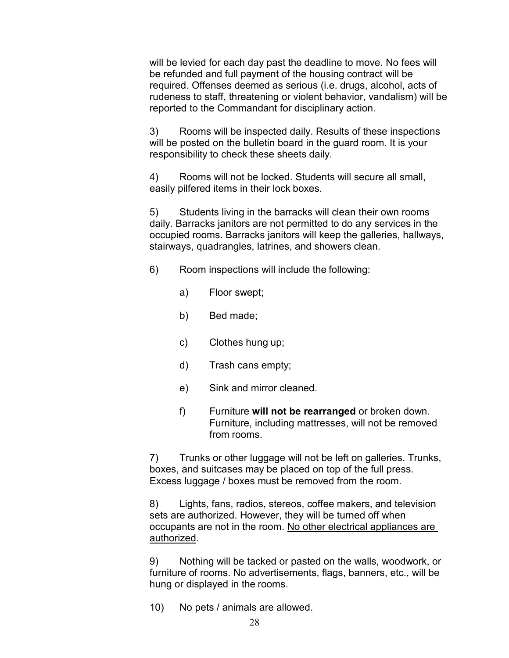will be levied for each day past the deadline to move. No fees will be refunded and full payment of the housing contract will be required. Offenses deemed as serious (i.e. drugs, alcohol, acts of rudeness to staff, threatening or violent behavior, vandalism) will be reported to the Commandant for disciplinary action.

3) Rooms will be inspected daily. Results of these inspections will be posted on the bulletin board in the guard room. It is your responsibility to check these sheets daily.

4) Rooms will not be locked. Students will secure all small, easily pilfered items in their lock boxes.

5) Students living in the barracks will clean their own rooms daily. Barracks janitors are not permitted to do any services in the occupied rooms. Barracks janitors will keep the galleries, hallways, stairways, quadrangles, latrines, and showers clean.

- 6) Room inspections will include the following:
	- a) Floor swept;
	- b) Bed made;
	- c) Clothes hung up;
	- d) Trash cans empty;
	- e) Sink and mirror cleaned.
	- f) Furniture **will not be rearranged** or broken down. Furniture, including mattresses, will not be removed from rooms.

7) Trunks or other luggage will not be left on galleries. Trunks, boxes, and suitcases may be placed on top of the full press. Excess luggage / boxes must be removed from the room.

8) Lights, fans, radios, stereos, coffee makers, and television sets are authorized. However, they will be turned off when occupants are not in the room. No other electrical appliances are authorized.

9) Nothing will be tacked or pasted on the walls, woodwork, or furniture of rooms. No advertisements, flags, banners, etc., will be hung or displayed in the rooms.

10) No pets / animals are allowed.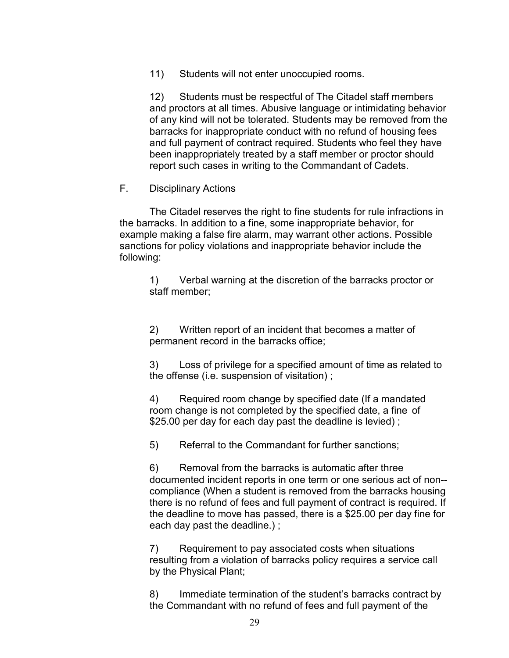11) Students will not enter unoccupied rooms.

12) Students must be respectful of The Citadel staff members and proctors at all times. Abusive language or intimidating behavior of any kind will not be tolerated. Students may be removed from the barracks for inappropriate conduct with no refund of housing fees and full payment of contract required. Students who feel they have been inappropriately treated by a staff member or proctor should report such cases in writing to the Commandant of Cadets.

## F. Disciplinary Actions

The Citadel reserves the right to fine students for rule infractions in the barracks. In addition to a fine, some inappropriate behavior, for example making a false fire alarm, may warrant other actions. Possible sanctions for policy violations and inappropriate behavior include the following:

1) Verbal warning at the discretion of the barracks proctor or staff member;

2) Written report of an incident that becomes a matter of permanent record in the barracks office;

3) Loss of privilege for a specified amount of time as related to the offense (i.e. suspension of visitation) ;

4) Required room change by specified date (If a mandated room change is not completed by the specified date, a fine of \$25.00 per day for each day past the deadline is levied) ;

5) Referral to the Commandant for further sanctions;

6) Removal from the barracks is automatic after three documented incident reports in one term or one serious act of non- compliance (When a student is removed from the barracks housing there is no refund of fees and full payment of contract is required. If the deadline to move has passed, there is a \$25.00 per day fine for each day past the deadline.) ;

7) Requirement to pay associated costs when situations resulting from a violation of barracks policy requires a service call by the Physical Plant;

8) Immediate termination of the student's barracks contract by the Commandant with no refund of fees and full payment of the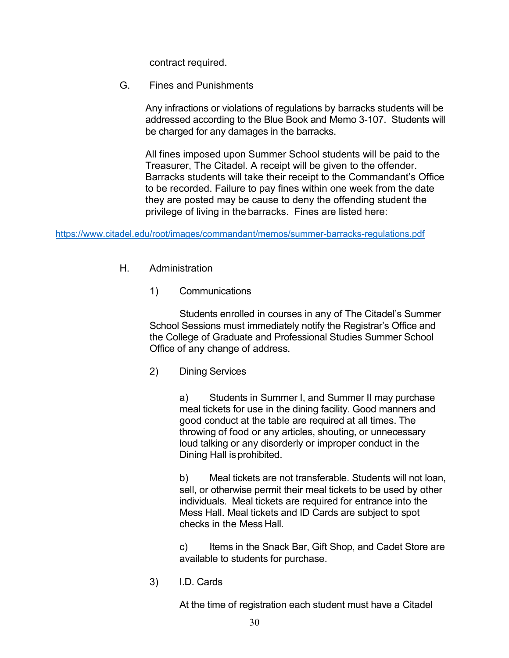contract required.

G. Fines and Punishments

Any infractions or violations of regulations by barracks students will be addressed according to the Blue Book and Memo 3-107. Students will be charged for any damages in the barracks.

All fines imposed upon Summer School students will be paid to the Treasurer, The Citadel. A receipt will be given to the offender. Barracks students will take their receipt to the Commandant's Office to be recorded. Failure to pay fines within one week from the date they are posted may be cause to deny the offending student the privilege of living in the barracks. Fines are listed here:

[https://www.citadel.edu/root/images/commandant/memos/summer-barracks-regulations.pdf](https://nam10.safelinks.protection.outlook.com/?url=https%3A%2F%2Fwww.citadel.edu%2Froot%2Fimages%2Fcommandant%2Fmemos%2Fsummer-barracks-regulations.pdf&data=04%7C01%7Ckbrenna1%40citadel.edu%7Ce8c27c8a117e460d6d5b08d8a20873cb%7C960c1081d06341f8844b41d738db04a3%7C0%7C0%7C637437504465055173%7CUnknown%7CTWFpbGZsb3d8eyJWIjoiMC4wLjAwMDAiLCJQIjoiV2luMzIiLCJBTiI6Ik1haWwiLCJXVCI6Mn0%3D%7C1000&sdata=seIsab72hY4cEAPMcv1EEdPpToAwwFAJuri0I6On7Jo%3D&reserved=0)

- H. Administration
	- 1) Communications

Students enrolled in courses in any of The Citadel's Summer School Sessions must immediately notify the Registrar's Office and the College of Graduate and Professional Studies Summer School Office of any change of address.

2) Dining Services

a) Students in Summer I, and Summer II may purchase meal tickets for use in the dining facility. Good manners and good conduct at the table are required at all times. The throwing of food or any articles, shouting, or unnecessary loud talking or any disorderly or improper conduct in the Dining Hall isprohibited.

b) Meal tickets are not transferable. Students will not loan, sell, or otherwise permit their meal tickets to be used by other individuals. Meal tickets are required for entrance into the Mess Hall. Meal tickets and ID Cards are subject to spot checks in the Mess Hall.

c) Items in the Snack Bar, Gift Shop, and Cadet Store are available to students for purchase.

3) I.D. Cards

At the time of registration each student must have a Citadel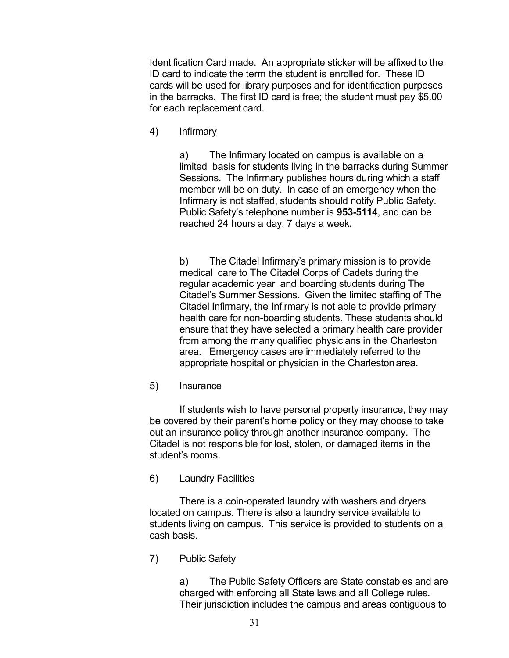Identification Card made. An appropriate sticker will be affixed to the ID card to indicate the term the student is enrolled for. These ID cards will be used for library purposes and for identification purposes in the barracks. The first ID card is free; the student must pay \$5.00 for each replacement card.

4) Infirmary

a) The Infirmary located on campus is available on a limited basis for students living in the barracks during Summer Sessions. The Infirmary publishes hours during which a staff member will be on duty. In case of an emergency when the Infirmary is not staffed, students should notify Public Safety. Public Safety's telephone number is 953-5114, and can be reached 24 hours a day, 7 days a week.

b) The Citadel Infirmary's primary mission is to provide medical care to The Citadel Corps of Cadets during the regular academic year and boarding students during The Citadel's Summer Sessions. Given the limited staffing of The Citadel Infirmary, the Infirmary is not able to provide primary health care for non-boarding students. These students should ensure that they have selected a primary health care provider from among the many qualified physicians in the Charleston area. Emergency cases are immediately referred to the appropriate hospital or physician in the Charleston area.

5) Insurance

If students wish to have personal property insurance, they may be covered by their parent's home policy or they may choose to take out an insurance policy through another insurance company. The Citadel is not responsible for lost, stolen, or damaged items in the student's rooms.

6) Laundry Facilities

There is a coin-operated laundry with washers and dryers located on campus. There is also a laundry service available to students living on campus. This service is provided to students on a cash basis.

7) Public Safety

a) The Public Safety Officers are State constables and are charged with enforcing all State laws and all College rules. Their jurisdiction includes the campus and areas contiguous to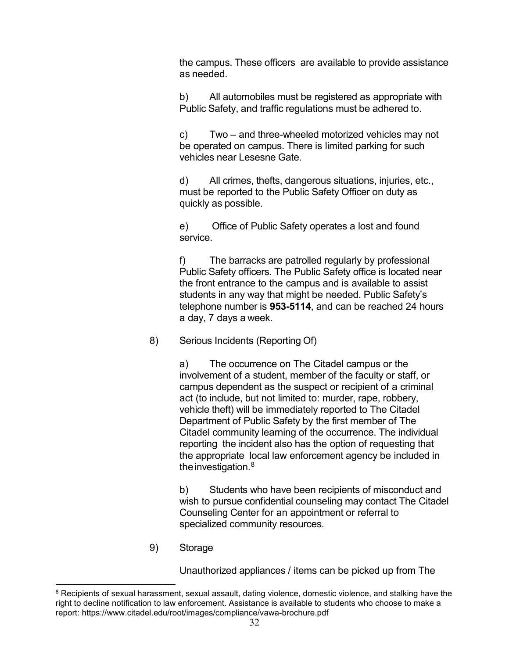the campus. These officers are available to provide assistance as needed.

b) All automobiles must be registered as appropriate with Public Safety, and traffic regulations must be adhered to.

c) Two – and three-wheeled motorized vehicles may not be operated on campus. There is limited parking for such vehicles near Lesesne Gate.

d) All crimes, thefts, dangerous situations, injuries, etc., must be reported to the Public Safety Officer on duty as quickly as possible.

e) Office of Public Safety operates a lost and found service.

f) The barracks are patrolled regularly by professional Public Safety officers. The Public Safety office is located near the front entrance to the campus and is available to assist students in any way that might be needed. Public Safety's telephone number is 953-5114, and can be reached 24 hours a day, 7 days a week.

8) Serious Incidents (Reporting Of)

a) The occurrence on The Citadel campus or the involvement of a student, member of the faculty or staff, or campus dependent as the suspect or recipient of a criminal act (to include, but not limited to: murder, rape, robbery, vehicle theft) will be immediately reported to The Citadel Department of Public Safety by the first member of The Citadel community learning of the occurrence. The individual reporting the incident also has the option of requesting that the appropriate local law enforcement agency be included in the investigation.<sup>[8](#page-31-0)</sup>

b) Students who have been recipients of misconduct and wish to pursue confidential counseling may contact The Citadel Counseling Center for an appointment or referral to specialized community resources.

9) Storage

Unauthorized appliances / items can be picked up from The

<span id="page-31-0"></span><sup>&</sup>lt;sup>8</sup> Recipients of sexual harassment, sexual assault, dating violence, domestic violence, and stalking have the right to decline notification to law enforcement. Assistance is available to students who choose to make a report: https://www.citadel.edu/root/images/compliance/vawa-brochure.pdf